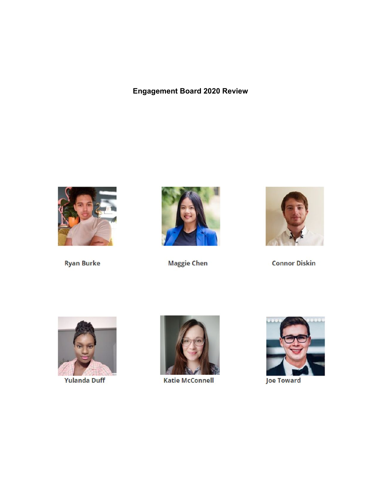# **Engagement Board 2020 Review**



**Ryan Burke** 



**Maggie Chen** 



**Connor Diskin** 



**Yulanda Duff** 



**Katie McConnell** 



**Joe Toward**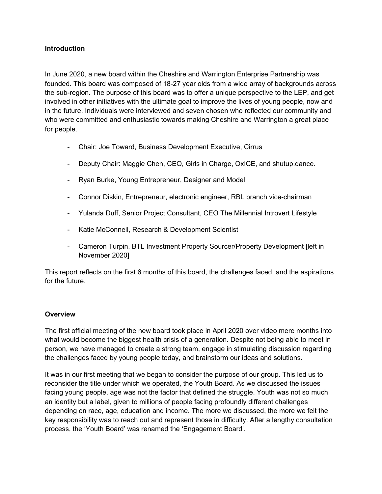### **Introduction**

In June 2020, a new board within the Cheshire and Warrington Enterprise Partnership was founded. This board was composed of 18-27 year olds from a wide array of backgrounds across the sub-region. The purpose of this board was to offer a unique perspective to the LEP, and get involved in other initiatives with the ultimate goal to improve the lives of young people, now and in the future. Individuals were interviewed and seven chosen who reflected our community and who were committed and enthusiastic towards making Cheshire and Warrington a great place for people.

- Chair: Joe Toward, Business Development Executive, Cirrus
- Deputy Chair: Maggie Chen, CEO, Girls in Charge, OxICE, and shutup.dance.
- Ryan Burke, Young Entrepreneur, Designer and Model
- Connor Diskin, Entrepreneur, electronic engineer, RBL branch vice-chairman
- Yulanda Duff, Senior Project Consultant, CEO The Millennial Introvert Lifestyle
- Katie McConnell, Research & Development Scientist
- Cameron Turpin, BTL Investment Property Sourcer/Property Development [left in November 2020]

This report reflects on the first 6 months of this board, the challenges faced, and the aspirations for the future.

## **Overview**

The first official meeting of the new board took place in April 2020 over video mere months into what would become the biggest health crisis of a generation. Despite not being able to meet in person, we have managed to create a strong team, engage in stimulating discussion regarding the challenges faced by young people today, and brainstorm our ideas and solutions.

It was in our first meeting that we began to consider the purpose of our group. This led us to reconsider the title under which we operated, the Youth Board. As we discussed the issues facing young people, age was not the factor that defined the struggle. Youth was not so much an identity but a label, given to millions of people facing profoundly different challenges depending on race, age, education and income. The more we discussed, the more we felt the key responsibility was to reach out and represent those in difficulty. After a lengthy consultation process, the 'Youth Board' was renamed the 'Engagement Board'.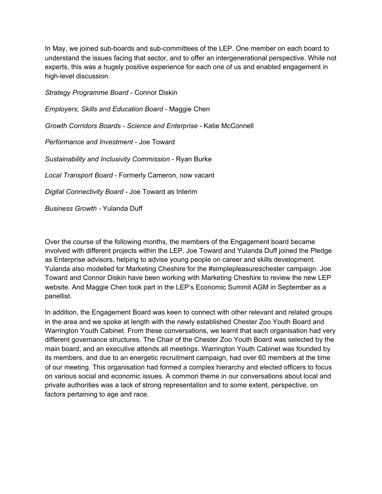In May, we joined sub-boards and sub-committees of the LEP. One member on each board to understand the issues facing that sector, and to offer an intergenerational perspective. While not experts, this was a hugely positive experience for each one of us and enabled engagement in high-level discussion.

*Strategy Programme Board* - Connor Diskin *Employers, Skills and Education Board* - Maggie Chen *Growth Corridors Boards - Science and Enterprise* - Katie McConnell *Performance and Investment* - Joe Toward *Sustainability and Inclusivity Commission* - Ryan Burke *Local Transport Board* - Formerly Cameron, now vacant *Digital Connectivity Board* - Joe Toward as Interim *Business Growth -* Yulanda Duff

Over the course of the following months, the members of the Engagement board became involved with different projects within the LEP. Joe Toward and Yulanda Duff joined the Pledge as Enterprise advisors, helping to advise young people on career and skills development. Yulanda also modelled for Marketing Cheshire for the #simplepleasureschester campaign. Joe Toward and Connor Diskin have been working with Marketing Cheshire to review the new LEP website. And Maggie Chen took part in the LEP's Economic Summit AGM in September as a panellist.

In addition, the Engagement Board was keen to connect with other relevant and related groups in the area and we spoke at length with the newly established Chester Zoo Youth Board and Warrington Youth Cabinet. From these conversations, we learnt that each organisation had very different governance structures. The Chair of the Chester Zoo Youth Board was selected by the main board, and an executive attends all meetings. Warrington Youth Cabinet was founded by its members, and due to an energetic recruitment campaign, had over 60 members at the time of our meeting. This organisation had formed a complex hierarchy and elected officers to focus on various social and economic issues. A common theme in our conversations about local and private authorities was a lack of strong representation and to some extent, perspective, on factors pertaining to age and race.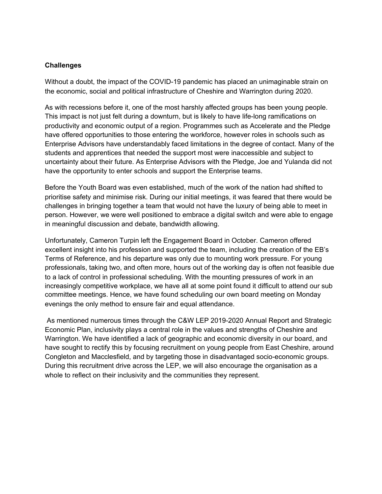#### **Challenges**

Without a doubt, the impact of the COVID-19 pandemic has placed an unimaginable strain on the economic, social and political infrastructure of Cheshire and Warrington during 2020.

As with recessions before it, one of the most harshly affected groups has been young people. This impact is not just felt during a downturn, but is likely to have life-long ramifications on productivity and economic output of a region. Programmes such as Accelerate and the Pledge have offered opportunities to those entering the workforce, however roles in schools such as Enterprise Advisors have understandably faced limitations in the degree of contact. Many of the students and apprentices that needed the support most were inaccessible and subject to uncertainty about their future. As Enterprise Advisors with the Pledge, Joe and Yulanda did not have the opportunity to enter schools and support the Enterprise teams.

Before the Youth Board was even established, much of the work of the nation had shifted to prioritise safety and minimise risk. During our initial meetings, it was feared that there would be challenges in bringing together a team that would not have the luxury of being able to meet in person. However, we were well positioned to embrace a digital switch and were able to engage in meaningful discussion and debate, bandwidth allowing.

Unfortunately, Cameron Turpin left the Engagement Board in October. Cameron offered excellent insight into his profession and supported the team, including the creation of the EB's Terms of Reference, and his departure was only due to mounting work pressure. For young professionals, taking two, and often more, hours out of the working day is often not feasible due to a lack of control in professional scheduling. With the mounting pressures of work in an increasingly competitive workplace, we have all at some point found it difficult to attend our sub committee meetings. Hence, we have found scheduling our own board meeting on Monday evenings the only method to ensure fair and equal attendance.

As mentioned numerous times through the C&W LEP 2019-2020 Annual Report and Strategic Economic Plan, inclusivity plays a central role in the values and strengths of Cheshire and Warrington. We have identified a lack of geographic and economic diversity in our board, and have sought to rectify this by focusing recruitment on young people from East Cheshire, around Congleton and Macclesfield, and by targeting those in disadvantaged socio-economic groups. During this recruitment drive across the LEP, we will also encourage the organisation as a whole to reflect on their inclusivity and the communities they represent.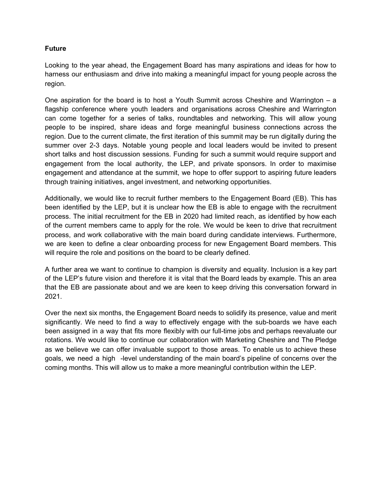#### **Future**

Looking to the year ahead, the Engagement Board has many aspirations and ideas for how to harness our enthusiasm and drive into making a meaningful impact for young people across the region.

One aspiration for the board is to host a Youth Summit across Cheshire and Warrington – a flagship conference where youth leaders and organisations across Cheshire and Warrington can come together for a series of talks, roundtables and networking. This will allow young people to be inspired, share ideas and forge meaningful business connections across the region. Due to the current climate, the first iteration of this summit may be run digitally during the summer over 2-3 days. Notable young people and local leaders would be invited to present short talks and host discussion sessions. Funding for such a summit would require support and engagement from the local authority, the LEP, and private sponsors. In order to maximise engagement and attendance at the summit, we hope to offer support to aspiring future leaders through training initiatives, angel investment, and networking opportunities.

Additionally, we would like to recruit further members to the Engagement Board (EB). This has been identified by the LEP, but it is unclear how the EB is able to engage with the recruitment process. The initial recruitment for the EB in 2020 had limited reach, as identified by how each of the current members came to apply for the role. We would be keen to drive that recruitment process, and work collaborative with the main board during candidate interviews. Furthermore, we are keen to define a clear onboarding process for new Engagement Board members. This will require the role and positions on the board to be clearly defined.

A further area we want to continue to champion is diversity and equality. Inclusion is a key part of the LEP's future vision and therefore it is vital that the Board leads by example. This an area that the EB are passionate about and we are keen to keep driving this conversation forward in 2021.

Over the next six months, the Engagement Board needs to solidify its presence, value and merit significantly. We need to find a way to effectively engage with the sub-boards we have each been assigned in a way that fits more flexibly with our full-time jobs and perhaps reevaluate our rotations. We would like to continue our collaboration with Marketing Cheshire and The Pledge as we believe we can offer invaluable support to those areas. To enable us to achieve these goals, we need a high -level understanding of the main board's pipeline of concerns over the coming months. This will allow us to make a more meaningful contribution within the LEP.